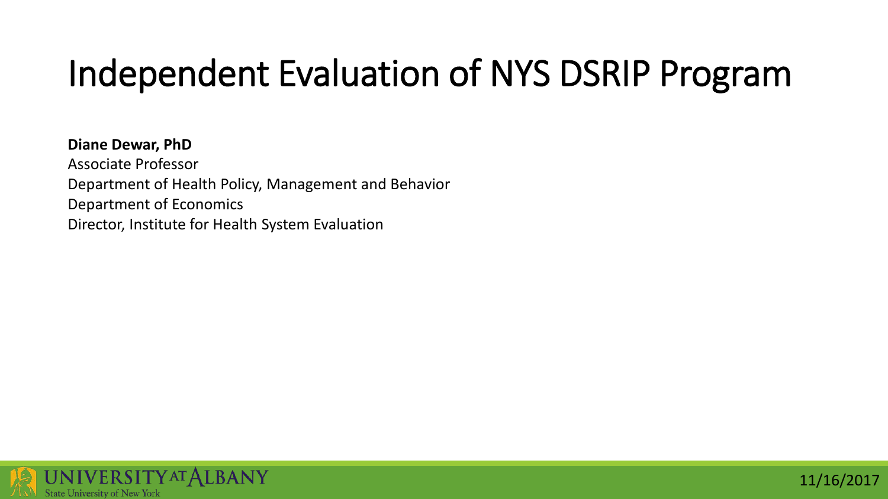## Independent Evaluation of NYS DSRIP Program

11/16/2017

**Diane Dewar, PhD** Associate Professor Department of Health Policy, Management and Behavior Department of Economics Director, Institute for Health System Evaluation

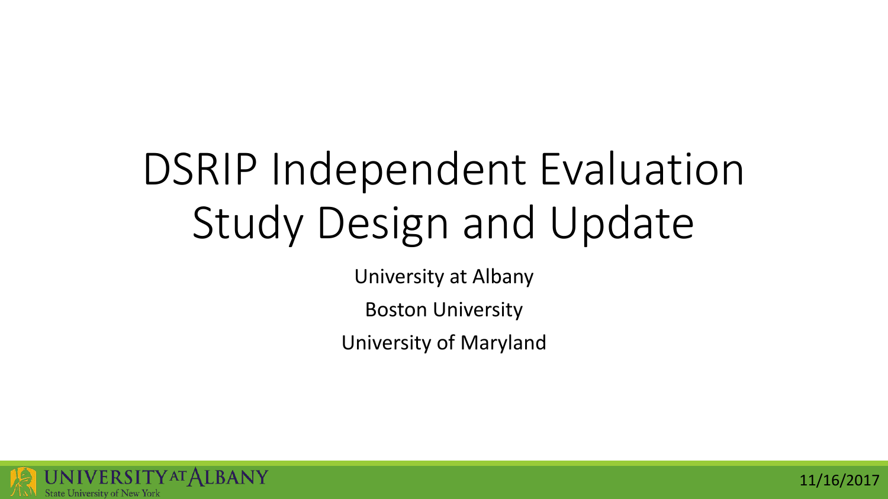## DSRIP Independent Evaluation Study Design and Update

University at Albany

Boston University

University of Maryland



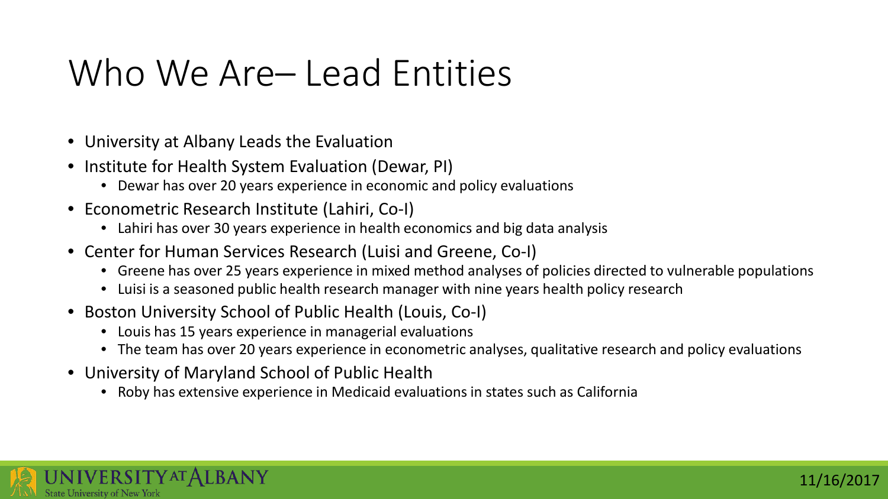#### Who We Are– Lead Entities

- University at Albany Leads the Evaluation
- Institute for Health System Evaluation (Dewar, PI)
	- Dewar has over 20 years experience in economic and policy evaluations
- Econometric Research Institute (Lahiri, Co-I)
	- Lahiri has over 30 years experience in health economics and big data analysis
- Center for Human Services Research (Luisi and Greene, Co-I)
	- Greene has over 25 years experience in mixed method analyses of policies directed to vulnerable populations
	- Luisi is a seasoned public health research manager with nine years health policy research
- Boston University School of Public Health (Louis, Co-I)
	- Louis has 15 years experience in managerial evaluations
	- The team has over 20 years experience in econometric analyses, qualitative research and policy evaluations
- University of Maryland School of Public Health
	- Roby has extensive experience in Medicaid evaluations in states such as California

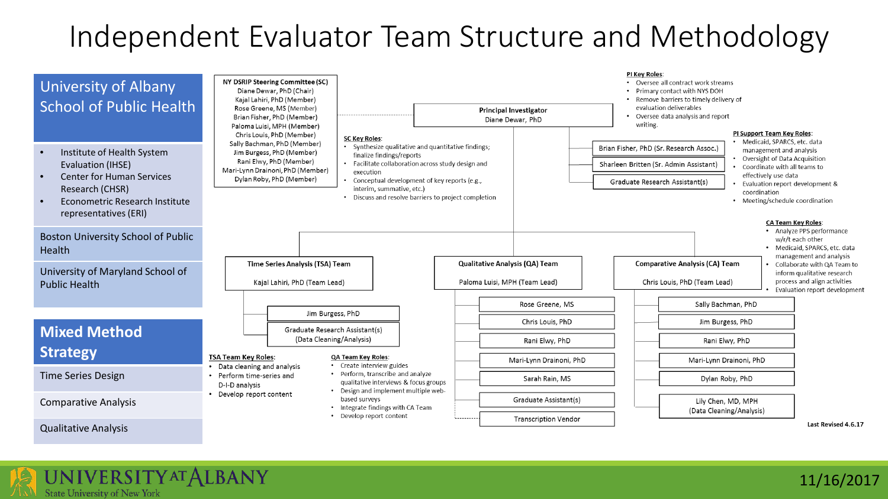#### Independent Evaluator Team Structure and Methodology





11/16/2017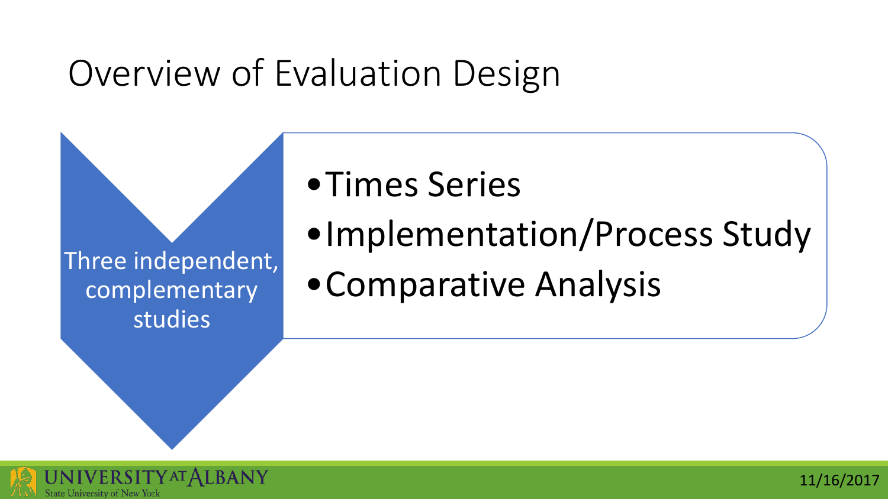#### Overview of Evaluation Design

Three independent, complementary studies

- •Times Series
- •Implementation/Process Study
- •Comparative Analysis

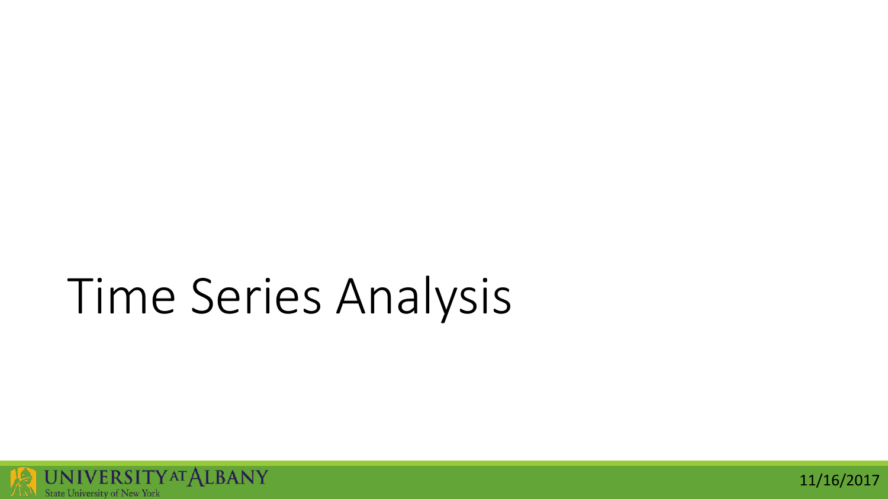# Time Series Analysis



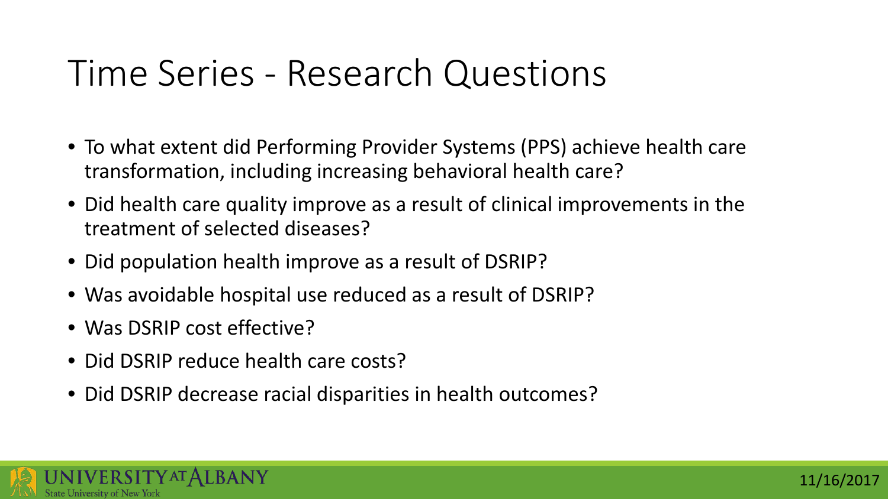#### Time Series - Research Questions

- To what extent did Performing Provider Systems (PPS) achieve health care transformation, including increasing behavioral health care?
- Did health care quality improve as a result of clinical improvements in the treatment of selected diseases?
- Did population health improve as a result of DSRIP?
- Was avoidable hospital use reduced as a result of DSRIP?
- Was DSRIP cost effective?
- Did DSRIP reduce health care costs?
- Did DSRIP decrease racial disparities in health outcomes?

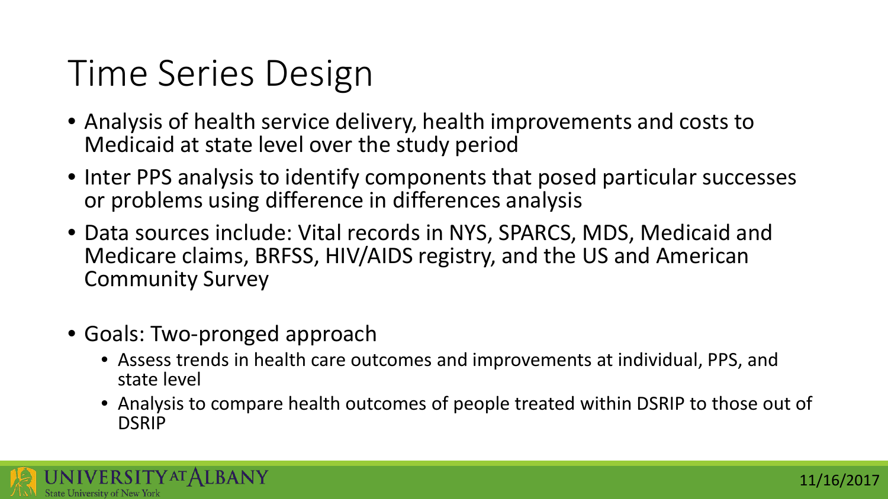## Time Series Design

- Analysis of health service delivery, health improvements and costs to Medicaid at state level over the study period
- Inter PPS analysis to identify components that posed particular successes or problems using difference in differences analysis
- Data sources include: Vital records in NYS, SPARCS, MDS, Medicaid and Medicare claims, BRFSS, HIV/AIDS registry, and the US and American Community Survey
- Goals: Two-pronged approach
	- Assess trends in health care outcomes and improvements at individual, PPS, and state level
	- Analysis to compare health outcomes of people treated within DSRIP to those out of DSRIP

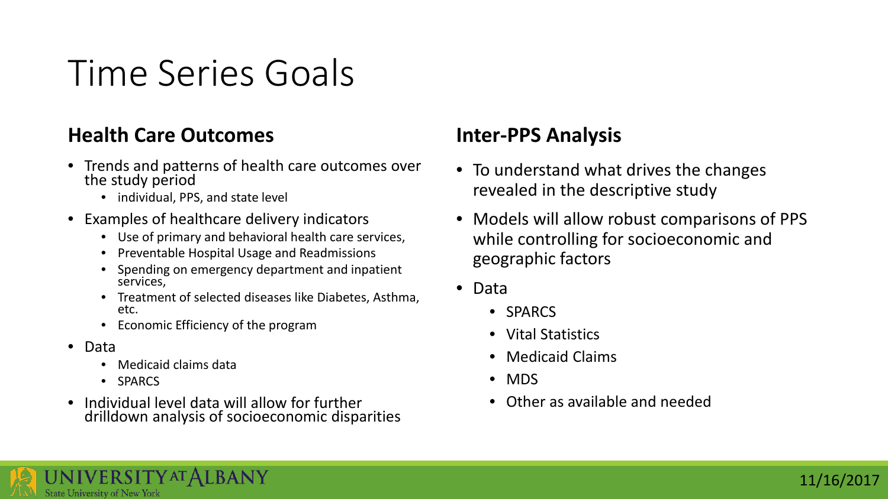#### Time Series Goals

#### **Health Care Outcomes**

- Trends and patterns of health care outcomes over the study period
	- individual, PPS, and state level
- Examples of healthcare delivery indicators
	- Use of primary and behavioral health care services,
	- Preventable Hospital Usage and Readmissions
	- Spending on emergency department and inpatient services,
	- Treatment of selected diseases like Diabetes, Asthma, etc.
	- Economic Efficiency of the program
- Data
	- Medicaid claims data
	- SPARCS
- Individual level data will allow for further drilldown analysis of socioeconomic disparities

#### **Inter-PPS Analysis**

- To understand what drives the changes revealed in the descriptive study
- Models will allow robust comparisons of PPS while controlling for socioeconomic and geographic factors
- Data
	- SPARCS
	- Vital Statistics
	- Medicaid Claims
	- MDS
	- Other as available and needed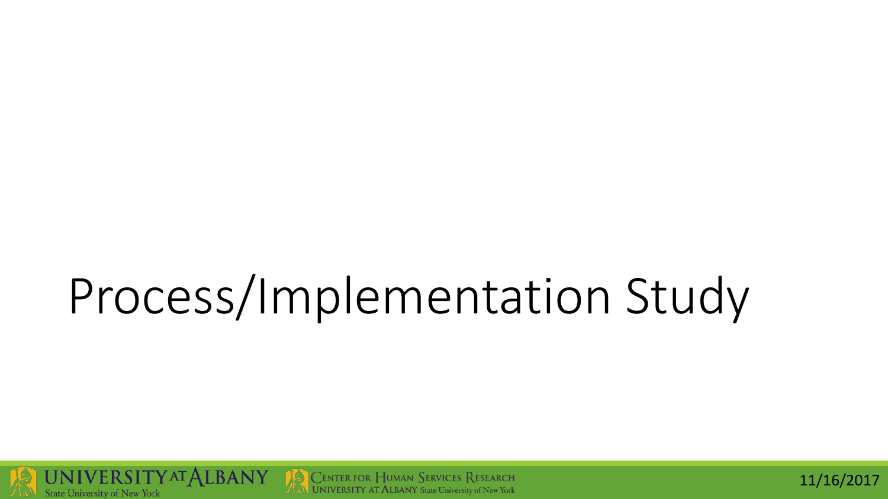# Process/Implementation Study



$$
11/16/2017\\
$$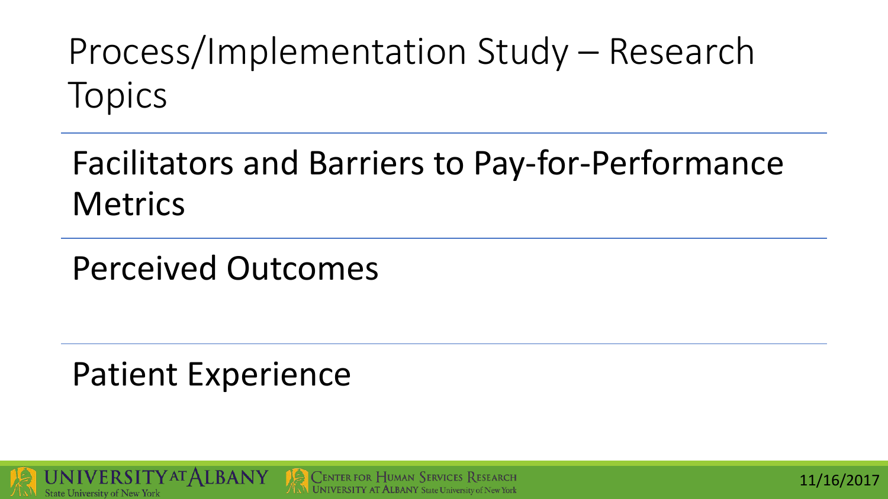Process/Implementation Study – Research Topics

#### Facilitators and Barriers to Pay-for-Performance **Metrics**

Perceived Outcomes

Patient Experience



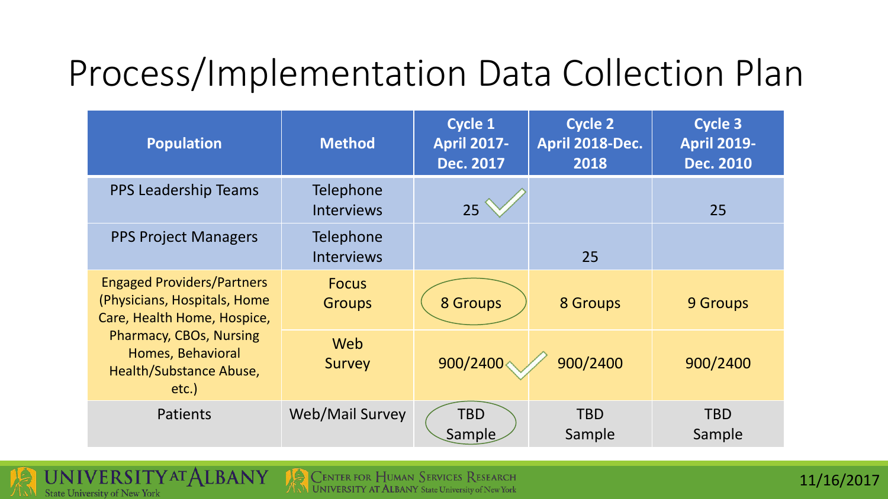#### Process/Implementation Data Collection Plan

| <b>Population</b>                                                                                | <b>Method</b>                  | <b>Cycle 1</b><br><b>April 2017-</b><br><b>Dec. 2017</b> | <b>Cycle 2</b><br>April 2018-Dec.<br>2018 | Cycle 3<br><b>April 2019-</b><br><b>Dec. 2010</b> |
|--------------------------------------------------------------------------------------------------|--------------------------------|----------------------------------------------------------|-------------------------------------------|---------------------------------------------------|
| <b>PPS Leadership Teams</b>                                                                      | Telephone<br><b>Interviews</b> | 25                                                       |                                           | 25                                                |
| <b>PPS Project Managers</b>                                                                      | Telephone<br><b>Interviews</b> |                                                          | 25                                        |                                                   |
| <b>Engaged Providers/Partners</b><br>(Physicians, Hospitals, Home<br>Care, Health Home, Hospice, | <b>Focus</b><br><b>Groups</b>  | 8 Groups                                                 | 8 Groups                                  | 9 Groups                                          |
| <b>Pharmacy, CBOs, Nursing</b><br>Homes, Behavioral<br>Health/Substance Abuse,<br>$etc.$ )       | Web<br>Survey                  | 900/2400<                                                | 900/2400                                  | 900/2400                                          |
| Patients                                                                                         | Web/Mail Survey                | <b>TBD</b><br>Sample                                     | <b>TBD</b><br>Sample                      | <b>TBD</b><br>Sample                              |

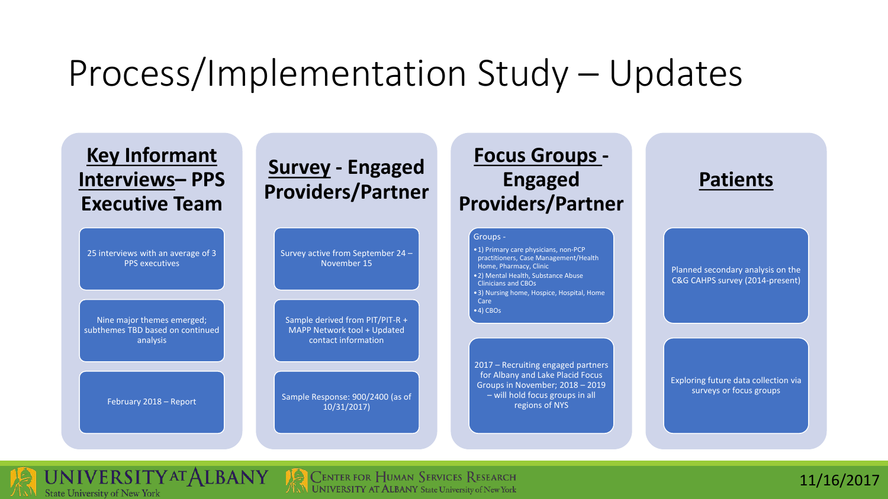#### Process/Implementation Study – Updates



**UNIVERSITYAT ALBANY State University of New York** 

**CENTER FOR HUMAN SERVICES RESEARCH**  $\mathbb{N}_N$  UNIVERSITY AT ALBANY State University of New York

11/16/2017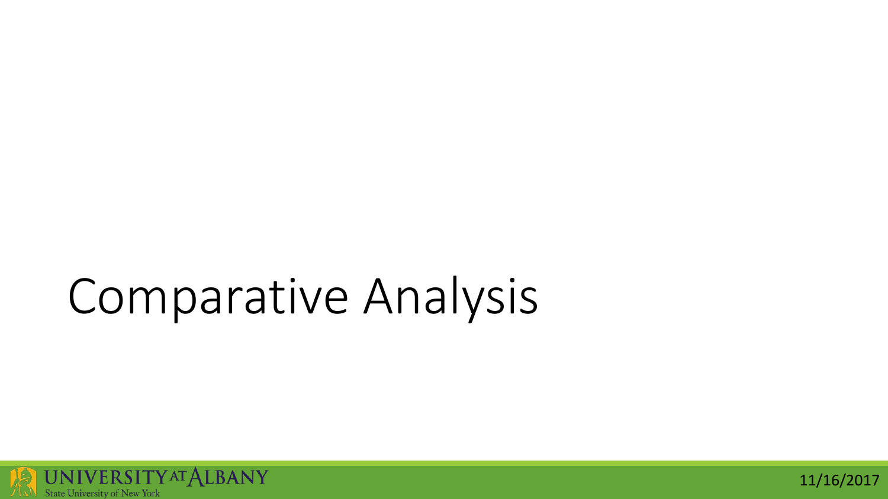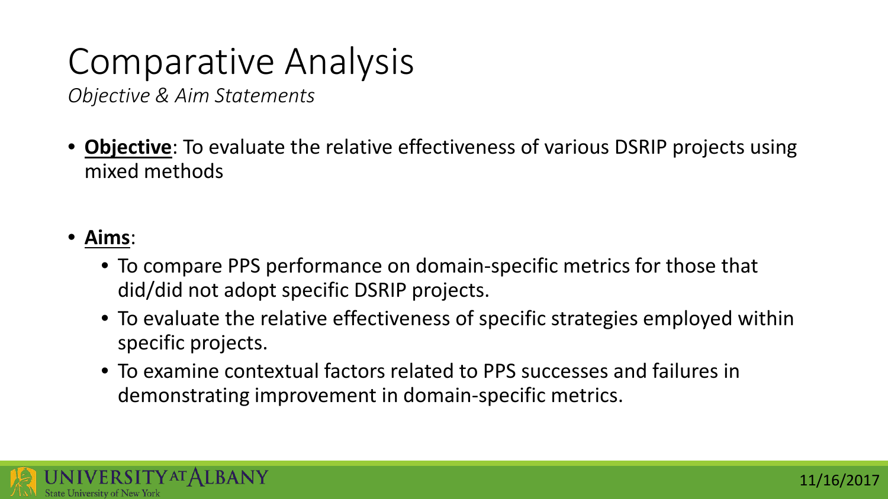*Objective & Aim Statements*

• **Objective**: To evaluate the relative effectiveness of various DSRIP projects using mixed methods

#### • **Aims**:

- To compare PPS performance on domain-specific metrics for those that did/did not adopt specific DSRIP projects.
- To evaluate the relative effectiveness of specific strategies employed within specific projects.
- To examine contextual factors related to PPS successes and failures in demonstrating improvement in domain-specific metrics.

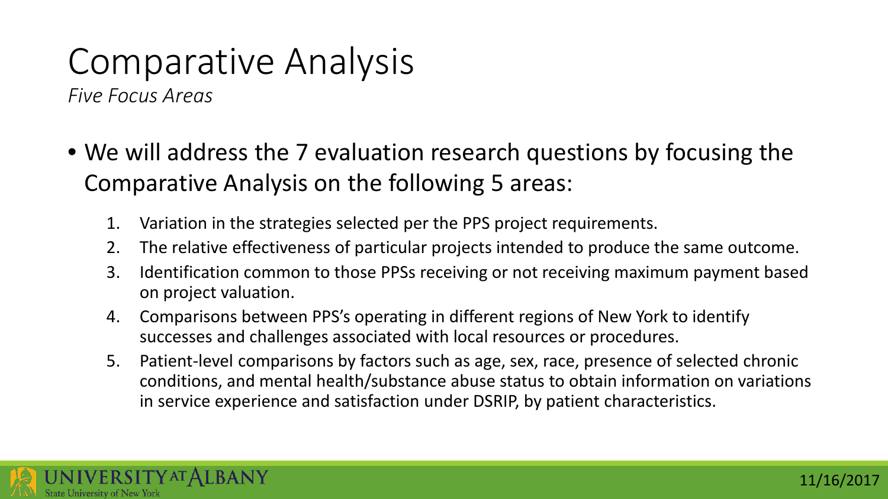*Five Focus Areas*

- We will address the 7 evaluation research questions by focusing the Comparative Analysis on the following 5 areas:
	- 1. Variation in the strategies selected per the PPS project requirements.
	- 2. The relative effectiveness of particular projects intended to produce the same outcome.
	- 3. Identification common to those PPSs receiving or not receiving maximum payment based on project valuation.
	- 4. Comparisons between PPS's operating in different regions of New York to identify successes and challenges associated with local resources or procedures.
	- 5. Patient-level comparisons by factors such as age, sex, race, presence of selected chronic conditions, and mental health/substance abuse status to obtain information on variations in service experience and satisfaction under DSRIP, by patient characteristics.

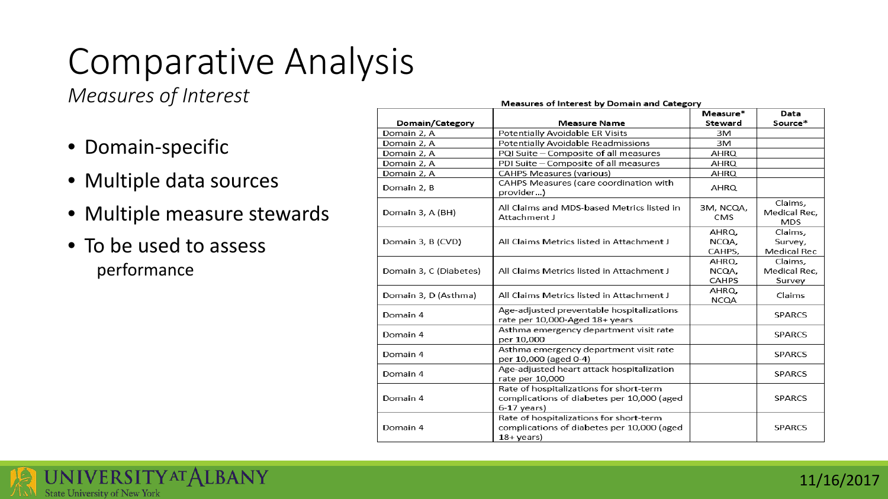*Measures of Interest*

- Domain-specific
- Multiple data sources
- Multiple measure stewards
- To be used to assess performance

#### Measures of Interest by Domain and Category

|                        |                                                                                                                | Measure*                | Data                                  |
|------------------------|----------------------------------------------------------------------------------------------------------------|-------------------------|---------------------------------------|
| Domain/Category        | <b>Measure Name</b>                                                                                            | <b>Steward</b>          | Source*                               |
| Domain 2, A            | Potentially Avoidable ER Visits                                                                                | 3M                      |                                       |
| Domain 2, A            | Potentially Avoidable Readmissions                                                                             | 3M                      |                                       |
| Domain 2, A            | PQI Suite - Composite of all measures                                                                          | AHRQ                    |                                       |
| Domain 2, A            | PDI Suite - Composite of all measures                                                                          | AHRQ                    |                                       |
| Domain 2, A            | <b>CAHPS Measures (various)</b>                                                                                | AHRQ                    |                                       |
| Domain 2, B            | CAHPS Measures (care coordination with<br>provider)                                                            | AHRQ                    |                                       |
| Domain 3, A (BH)       | All Claims and MDS-based Metrics listed in<br>Attachment J                                                     | 3M, NCQA,<br><b>CMS</b> | Claims,<br>Medical Rec,<br><b>MDS</b> |
|                        |                                                                                                                | AHRQ,                   | Claims,                               |
| Domain 3, B (CVD)      | All Claims Metrics listed in Attachment J                                                                      | NCQA,                   | Survey,                               |
|                        |                                                                                                                | CAHPS,                  | Medical Rec                           |
|                        |                                                                                                                | AHRQ,                   | Claims,                               |
| Domain 3, C (Diabetes) | All Claims Metrics listed in Attachment J                                                                      | NCQA,                   | Medical Rec.                          |
|                        |                                                                                                                | <b>CAHPS</b>            | Survey                                |
| Domain 3, D (Asthma)   | All Claims Metrics listed in Attachment J                                                                      | AHRQ.<br><b>NCQA</b>    | Claims                                |
| Domain 4               | Age-adjusted preventable hospitalizations<br>rate per 10,000-Aged 18+ years                                    |                         | <b>SPARCS</b>                         |
| Domain 4               | Asthma emergency department visit rate<br>per 10,000                                                           |                         | <b>SPARCS</b>                         |
| Domain 4               | Asthma emergency department visit rate<br>per 10,000 (aged 0-4)                                                |                         | <b>SPARCS</b>                         |
| Domain 4               | Age-adjusted heart attack hospitalization<br>rate per 10,000                                                   |                         | <b>SPARCS</b>                         |
| Domain 4               | Rate of hospitalizations for short-term<br>complications of diabetes per 10,000 (aged<br>$6-17$ years)         |                         | <b>SPARCS</b>                         |
| Domain 4               | Rate of hospitalizations for short-term<br>complications of diabetes per 10,000 (aged<br>$18 + \mathrm{years}$ |                         | <b>SPARCS</b>                         |

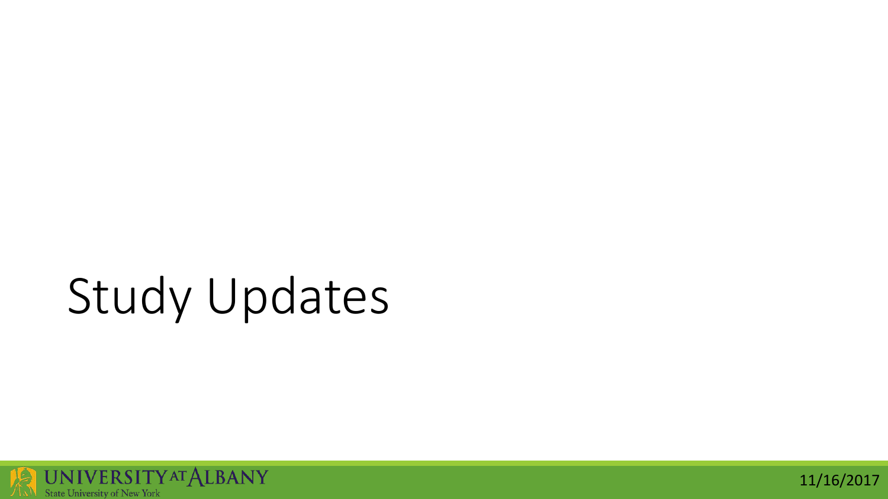# Study Updates



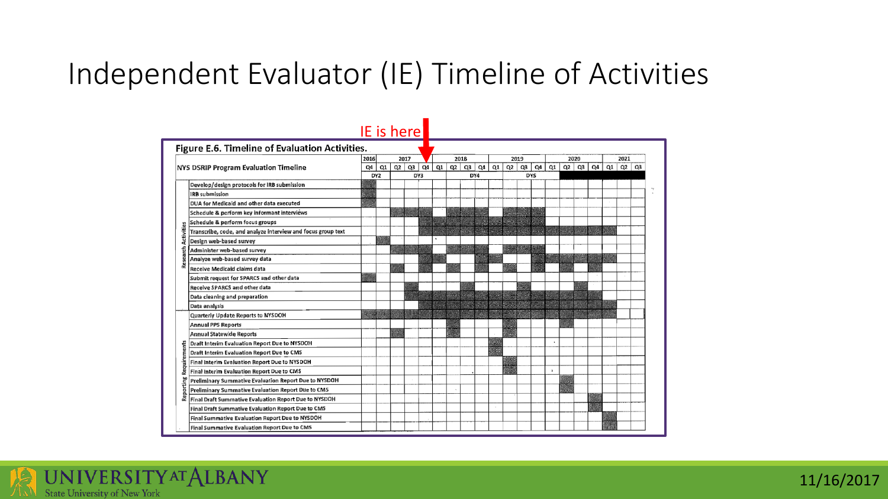#### Independent Evaluator (IE) Timeline of Activities

|                                       |                                                                      | IE is here |     |      |    |     |    |      |     |      |    |                |    |            |                      |    |    |    |      |           |  |  |
|---------------------------------------|----------------------------------------------------------------------|------------|-----|------|----|-----|----|------|-----|------|----|----------------|----|------------|----------------------|----|----|----|------|-----------|--|--|
|                                       | Figure E.6. Timeline of Evaluation Activities.                       |            |     |      |    |     |    |      |     |      |    |                |    |            |                      |    |    |    |      |           |  |  |
| NYS DSRIP Program Evaluation Timeline |                                                                      | 2016       |     | 2017 |    |     |    | 2018 |     | 2019 |    |                |    |            | 2020                 |    |    |    | 2021 |           |  |  |
|                                       |                                                                      | Q4         | Q1  | Q2   | Q3 | Q4  | Q1 | Q2   | Q3  | Q4   | Q1 | Q <sub>2</sub> | Q3 | Q4         | Q1                   | Q2 | Q3 | Q4 | Q1   | $Q2$ $Q3$ |  |  |
|                                       |                                                                      |            | DY2 |      |    | DY3 |    |      | DY4 |      |    |                |    | <b>DYS</b> |                      |    |    |    |      |           |  |  |
|                                       | Develop/design protocols for IRB submission<br><b>IRB</b> submission |            |     |      |    |     |    |      |     |      |    |                |    |            |                      |    |    |    |      |           |  |  |
|                                       |                                                                      |            |     |      |    |     |    |      |     |      |    |                |    |            |                      |    |    |    |      |           |  |  |
|                                       | DUA for Medicaid and other data executed                             |            |     |      |    |     |    |      |     |      |    |                |    |            |                      |    |    |    |      |           |  |  |
|                                       | Schedule & perform key informant interviews                          |            |     |      |    |     |    |      |     |      |    |                |    |            |                      |    |    |    |      |           |  |  |
|                                       | Schedule & perform focus groups                                      |            |     |      |    |     |    |      |     |      |    |                |    |            |                      |    |    |    |      |           |  |  |
| Activities                            | Transcribe, code, and analyze interview and focus group text         |            |     |      |    |     |    |      |     |      |    |                |    |            |                      |    |    |    |      |           |  |  |
|                                       | Design web-based survey                                              |            |     |      |    |     |    |      |     |      |    |                |    |            |                      |    |    |    |      |           |  |  |
| £                                     | Administer web-based survey                                          |            |     |      |    |     |    |      |     |      |    |                |    |            |                      |    |    |    |      |           |  |  |
| seal<br>离                             | Analyze web-based survey data                                        |            |     |      |    |     |    |      |     |      |    |                |    |            |                      |    |    |    |      |           |  |  |
|                                       | Receive Medicaid claims data                                         |            |     |      |    |     |    |      |     |      |    |                |    |            |                      |    |    |    |      |           |  |  |
|                                       | Submit request for SPARCS and other data                             |            |     |      |    |     |    |      |     |      |    |                |    |            |                      |    |    |    |      |           |  |  |
|                                       | <b>Receive SPARCS and other data</b>                                 |            |     |      |    |     |    |      |     |      |    |                |    |            |                      |    |    |    |      |           |  |  |
|                                       | Data cleaning and preparation                                        |            |     |      |    |     |    |      |     |      |    |                |    |            |                      |    |    |    |      |           |  |  |
|                                       | Data analysis                                                        |            |     |      |    |     |    |      |     |      |    |                |    |            |                      |    |    |    |      |           |  |  |
|                                       | Quarterly Update Reports to NYSDOH                                   |            |     |      |    |     |    |      |     |      |    |                |    |            |                      |    |    |    |      |           |  |  |
|                                       | <b>Annual PPS Reports</b>                                            |            |     |      |    |     |    |      |     |      |    |                |    |            |                      |    |    |    |      |           |  |  |
|                                       | <b>Annual Statewide Reports</b>                                      |            |     |      |    |     |    |      |     |      |    |                |    |            |                      |    |    |    |      |           |  |  |
|                                       | Draft Interim Evaluation Report Due to NYSDOH                        |            |     |      |    |     |    |      |     |      |    |                |    |            | $\ddot{\phantom{1}}$ |    |    |    |      |           |  |  |
|                                       | Draft Interim Evaluation Report Due to CMS                           |            |     |      |    |     |    |      |     |      |    |                |    |            |                      |    |    |    |      |           |  |  |
| Requirements                          | Final Interim Evaluation Report Due to NYSDOH                        |            |     |      |    |     |    |      |     |      |    |                |    |            |                      |    |    |    |      |           |  |  |
|                                       | Final Interim Evaluation Report Due to CMS                           |            |     |      |    |     |    |      |     |      |    |                |    |            |                      |    |    |    |      |           |  |  |
|                                       | Preliminary Summative Evaluation Report Due to NYSDOH                |            |     |      |    |     |    |      |     |      |    |                |    |            |                      |    |    |    |      |           |  |  |
| orting                                | Preliminary Summative Evaluation Report Due to CMS                   |            |     |      |    |     |    |      |     |      |    |                |    |            |                      |    |    |    |      |           |  |  |
| Rep                                   | Final Draft Summative Evaluation Report Due to NYSDOH                |            |     |      |    |     |    |      |     |      |    |                |    |            |                      |    |    |    |      |           |  |  |
|                                       | Final Draft Summative Evaluation Report Due to CMS                   |            |     |      |    |     |    |      |     |      |    |                |    |            |                      |    |    |    |      |           |  |  |
|                                       | Final Summative Evaluation Report Due to NYSDOH                      |            |     |      |    |     |    |      |     |      |    |                |    |            |                      |    |    |    |      |           |  |  |
|                                       | Final Summative Evaluation Report Due to CMS                         |            |     |      |    |     |    |      |     |      |    |                |    |            |                      |    |    |    |      |           |  |  |